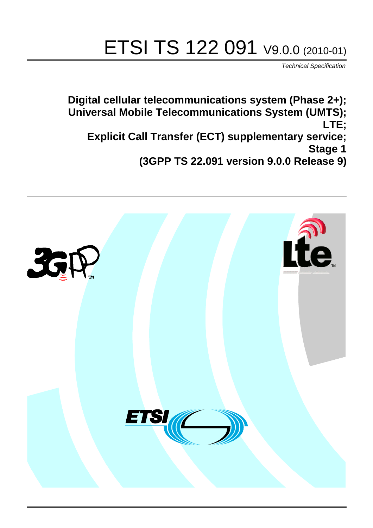# ETSI TS 122 091 V9.0.0 (2010-01)

*Technical Specification*

**Digital cellular telecommunications system (Phase 2+); Universal Mobile Telecommunications System (UMTS); LTE; Explicit Call Transfer (ECT) supplementary service; Stage 1 (3GPP TS 22.091 version 9.0.0 Release 9)**

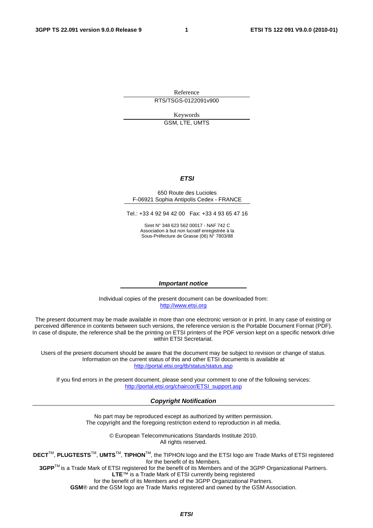Reference RTS/TSGS-0122091v900

> Keywords GSM, LTE, UMTS

#### *ETSI*

#### 650 Route des Lucioles F-06921 Sophia Antipolis Cedex - FRANCE

Tel.: +33 4 92 94 42 00 Fax: +33 4 93 65 47 16

Siret N° 348 623 562 00017 - NAF 742 C Association à but non lucratif enregistrée à la Sous-Préfecture de Grasse (06) N° 7803/88

#### *Important notice*

Individual copies of the present document can be downloaded from: [http://www.etsi.org](http://www.etsi.org/)

The present document may be made available in more than one electronic version or in print. In any case of existing or perceived difference in contents between such versions, the reference version is the Portable Document Format (PDF). In case of dispute, the reference shall be the printing on ETSI printers of the PDF version kept on a specific network drive within ETSI Secretariat.

Users of the present document should be aware that the document may be subject to revision or change of status. Information on the current status of this and other ETSI documents is available at <http://portal.etsi.org/tb/status/status.asp>

If you find errors in the present document, please send your comment to one of the following services: [http://portal.etsi.org/chaircor/ETSI\\_support.asp](http://portal.etsi.org/chaircor/ETSI_support.asp)

#### *Copyright Notification*

No part may be reproduced except as authorized by written permission. The copyright and the foregoing restriction extend to reproduction in all media.

> © European Telecommunications Standards Institute 2010. All rights reserved.

**DECT**TM, **PLUGTESTS**TM, **UMTS**TM, **TIPHON**TM, the TIPHON logo and the ETSI logo are Trade Marks of ETSI registered for the benefit of its Members.

**3GPP**TM is a Trade Mark of ETSI registered for the benefit of its Members and of the 3GPP Organizational Partners. **LTE**™ is a Trade Mark of ETSI currently being registered

for the benefit of its Members and of the 3GPP Organizational Partners.

**GSM**® and the GSM logo are Trade Marks registered and owned by the GSM Association.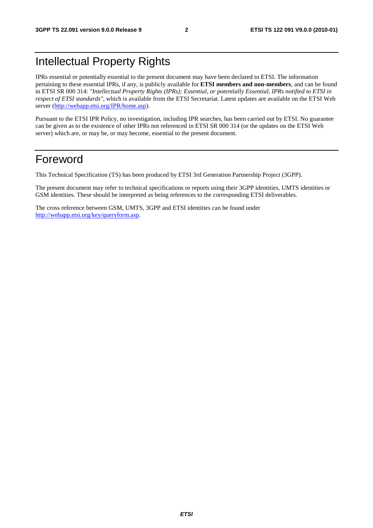# Intellectual Property Rights

IPRs essential or potentially essential to the present document may have been declared to ETSI. The information pertaining to these essential IPRs, if any, is publicly available for **ETSI members and non-members**, and can be found in ETSI SR 000 314: *"Intellectual Property Rights (IPRs); Essential, or potentially Essential, IPRs notified to ETSI in respect of ETSI standards"*, which is available from the ETSI Secretariat. Latest updates are available on the ETSI Web server [\(http://webapp.etsi.org/IPR/home.asp](http://webapp.etsi.org/IPR/home.asp)).

Pursuant to the ETSI IPR Policy, no investigation, including IPR searches, has been carried out by ETSI. No guarantee can be given as to the existence of other IPRs not referenced in ETSI SR 000 314 (or the updates on the ETSI Web server) which are, or may be, or may become, essential to the present document.

#### Foreword

This Technical Specification (TS) has been produced by ETSI 3rd Generation Partnership Project (3GPP).

The present document may refer to technical specifications or reports using their 3GPP identities, UMTS identities or GSM identities. These should be interpreted as being references to the corresponding ETSI deliverables.

The cross reference between GSM, UMTS, 3GPP and ETSI identities can be found under [http://webapp.etsi.org/key/queryform.asp.](http://webapp.etsi.org/key/queryform.asp)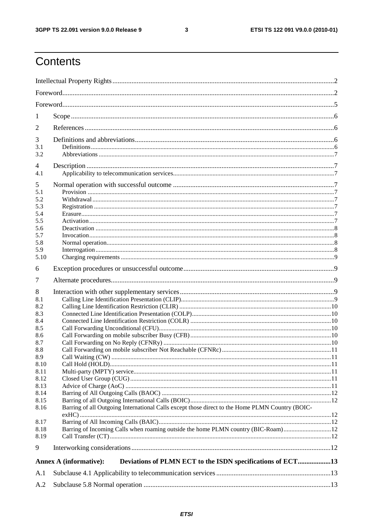$\mathbf{3}$ 

# Contents

| 1            |                                                                                                 |  |
|--------------|-------------------------------------------------------------------------------------------------|--|
| 2            |                                                                                                 |  |
| 3            |                                                                                                 |  |
| 3.1          |                                                                                                 |  |
| 3.2          |                                                                                                 |  |
| 4            |                                                                                                 |  |
| 4.1          |                                                                                                 |  |
| 5            |                                                                                                 |  |
| 5.1<br>5.2   |                                                                                                 |  |
| 5.3          |                                                                                                 |  |
| 5.4          |                                                                                                 |  |
| 5.5          |                                                                                                 |  |
| 5.6          |                                                                                                 |  |
| 5.7<br>5.8   |                                                                                                 |  |
| 5.9          |                                                                                                 |  |
| 5.10         |                                                                                                 |  |
| 6            |                                                                                                 |  |
| 7            |                                                                                                 |  |
| 8            |                                                                                                 |  |
| 8.1          |                                                                                                 |  |
| 8.2          |                                                                                                 |  |
| 8.3          |                                                                                                 |  |
| 8.4<br>8.5   |                                                                                                 |  |
| 8.6          |                                                                                                 |  |
| 8.7          |                                                                                                 |  |
| 8.8          |                                                                                                 |  |
| 8.9          |                                                                                                 |  |
| 8.10         |                                                                                                 |  |
| 8.11<br>8.12 |                                                                                                 |  |
| 8.13         |                                                                                                 |  |
| 8.14         |                                                                                                 |  |
| 8.15         |                                                                                                 |  |
| 8.16         | Barring of all Outgoing International Calls except those direct to the Home PLMN Country (BOIC- |  |
|              |                                                                                                 |  |
| 8.17<br>8.18 | Barring of Incoming Calls when roaming outside the home PLMN country (BIC-Roam)12               |  |
| 8.19         |                                                                                                 |  |
| 9            |                                                                                                 |  |
|              | Deviations of PLMN ECT to the ISDN specifications of ECT13<br><b>Annex A (informative):</b>     |  |
| A.1          |                                                                                                 |  |
| A.2          |                                                                                                 |  |
|              |                                                                                                 |  |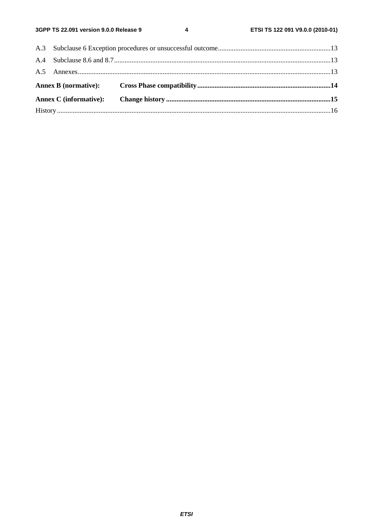$\overline{\mathbf{4}}$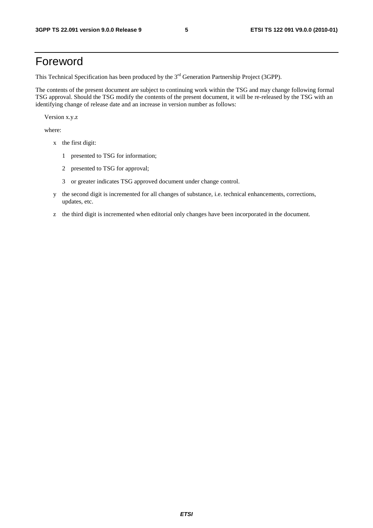#### Foreword

This Technical Specification has been produced by the 3<sup>rd</sup> Generation Partnership Project (3GPP).

The contents of the present document are subject to continuing work within the TSG and may change following formal TSG approval. Should the TSG modify the contents of the present document, it will be re-released by the TSG with an identifying change of release date and an increase in version number as follows:

Version x.y.z

where:

- x the first digit:
	- 1 presented to TSG for information;
	- 2 presented to TSG for approval;
	- 3 or greater indicates TSG approved document under change control.
- y the second digit is incremented for all changes of substance, i.e. technical enhancements, corrections, updates, etc.
- z the third digit is incremented when editorial only changes have been incorporated in the document.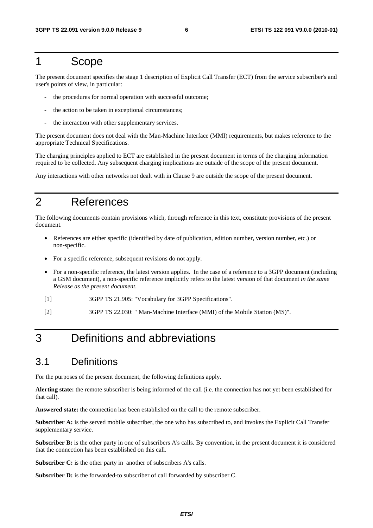#### 1 Scope

The present document specifies the stage 1 description of Explicit Call Transfer (ECT) from the service subscriber's and user's points of view, in particular:

- the procedures for normal operation with successful outcome;
- the action to be taken in exceptional circumstances;
- the interaction with other supplementary services.

The present document does not deal with the Man-Machine Interface (MMI) requirements, but makes reference to the appropriate Technical Specifications.

The charging principles applied to ECT are established in the present document in terms of the charging information required to be collected. Any subsequent charging implications are outside of the scope of the present document.

Any interactions with other networks not dealt with in Clause 9 are outside the scope of the present document.

# 2 References

The following documents contain provisions which, through reference in this text, constitute provisions of the present document.

- References are either specific (identified by date of publication, edition number, version number, etc.) or non-specific.
- For a specific reference, subsequent revisions do not apply.
- For a non-specific reference, the latest version applies. In the case of a reference to a 3GPP document (including a GSM document), a non-specific reference implicitly refers to the latest version of that document *in the same Release as the present document*.
- [1] 3GPP TS 21.905: "Vocabulary for 3GPP Specifications".
- [2] 3GPP TS 22.030: " Man-Machine Interface (MMI) of the Mobile Station (MS)".

# 3 Definitions and abbreviations

#### 3.1 Definitions

For the purposes of the present document, the following definitions apply.

**Alerting state:** the remote subscriber is being informed of the call (i.e. the connection has not yet been established for that call).

**Answered state:** the connection has been established on the call to the remote subscriber.

**Subscriber A:** is the served mobile subscriber, the one who has subscribed to, and invokes the Explicit Call Transfer supplementary service.

**Subscriber B:** is the other party in one of subscribers A's calls. By convention, in the present document it is considered that the connection has been established on this call.

**Subscriber C:** is the other party in another of subscribers A's calls.

Subscriber D: is the forwarded-to subscriber of call forwarded by subscriber C.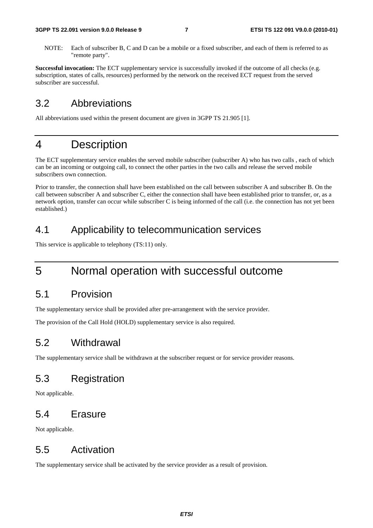NOTE: Each of subscriber B, C and D can be a mobile or a fixed subscriber, and each of them is referred to as "remote party".

**Successful invocation:** The ECT supplementary service is successfully invoked if the outcome of all checks (e.g. subscription, states of calls, resources) performed by the network on the received ECT request from the served subscriber are successful.

#### 3.2 Abbreviations

All abbreviations used within the present document are given in 3GPP TS 21.905 [1].

#### 4 Description

The ECT supplementary service enables the served mobile subscriber (subscriber A) who has two calls , each of which can be an incoming or outgoing call, to connect the other parties in the two calls and release the served mobile subscribers own connection.

Prior to transfer, the connection shall have been established on the call between subscriber A and subscriber B. On the call between subscriber A and subscriber C, either the connection shall have been established prior to transfer, or, as a network option, transfer can occur while subscriber C is being informed of the call (i.e. the connection has not yet been established.)

#### 4.1 Applicability to telecommunication services

This service is applicable to telephony (TS:11) only.

## 5 Normal operation with successful outcome

#### 5.1 Provision

The supplementary service shall be provided after pre-arrangement with the service provider.

The provision of the Call Hold (HOLD) supplementary service is also required.

#### 5.2 Withdrawal

The supplementary service shall be withdrawn at the subscriber request or for service provider reasons.

#### 5.3 Registration

Not applicable.

#### 5.4 Erasure

Not applicable.

#### 5.5 Activation

The supplementary service shall be activated by the service provider as a result of provision.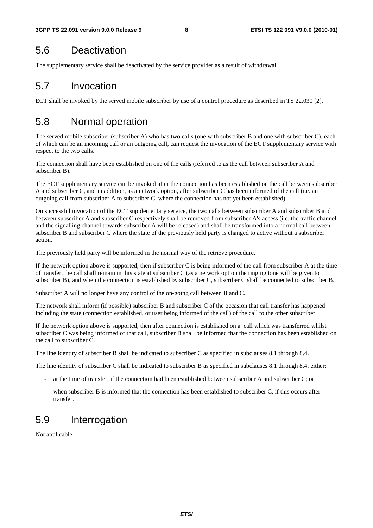#### 5.6 Deactivation

The supplementary service shall be deactivated by the service provider as a result of withdrawal.

#### 5.7 Invocation

ECT shall be invoked by the served mobile subscriber by use of a control procedure as described in TS 22.030 [2].

#### 5.8 Normal operation

The served mobile subscriber (subscriber A) who has two calls (one with subscriber B and one with subscriber C), each of which can be an incoming call or an outgoing call, can request the invocation of the ECT supplementary service with respect to the two calls.

The connection shall have been established on one of the calls (referred to as the call between subscriber A and subscriber B).

The ECT supplementary service can be invoked after the connection has been established on the call between subscriber A and subscriber C, and in addition, as a network option, after subscriber C has been informed of the call (i.e. an outgoing call from subscriber A to subscriber C, where the connection has not yet been established).

On successful invocation of the ECT supplementary service, the two calls between subscriber A and subscriber B and between subscriber A and subscriber C respectively shall be removed from subscriber A's access (i.e. the traffic channel and the signalling channel towards subscriber A will be released) and shall be transformed into a normal call between subscriber B and subscriber C where the state of the previously held party is changed to active without a subscriber action.

The previously held party will be informed in the normal way of the retrieve procedure.

If the network option above is supported, then if subscriber C is being informed of the call from subscriber A at the time of transfer, the call shall remain in this state at subscriber C (as a network option the ringing tone will be given to subscriber B), and when the connection is established by subscriber C, subscriber C shall be connected to subscriber B.

Subscriber A will no longer have any control of the on-going call between B and C.

The network shall inform (if possible) subscriber B and subscriber C of the occasion that call transfer has happened including the state (connection established, or user being informed of the call) of the call to the other subscriber.

If the network option above is supported, then after connection is established on a call which was transferred whilst subscriber C was being informed of that call, subscriber B shall be informed that the connection has been established on the call to subscriber C.

The line identity of subscriber B shall be indicated to subscriber C as specified in subclauses 8.1 through 8.4.

The line identity of subscriber C shall be indicated to subscriber B as specified in subclauses 8.1 through 8.4, either:

- at the time of transfer, if the connection had been established between subscriber A and subscriber C; or
- when subscriber B is informed that the connection has been established to subscriber C, if this occurs after transfer.

#### 5.9 Interrogation

Not applicable.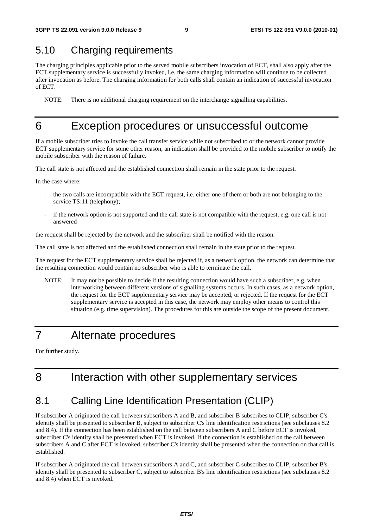#### 5.10 Charging requirements

The charging principles applicable prior to the served mobile subscribers invocation of ECT, shall also apply after the ECT supplementary service is successfully invoked, i.e. the same charging information will continue to be collected after invocation as before. The charging information for both calls shall contain an indication of successful invocation of ECT.

NOTE: There is no additional charging requirement on the interchange signalling capabilities.

#### 6 Exception procedures or unsuccessful outcome

If a mobile subscriber tries to invoke the call transfer service while not subscribed to or the network cannot provide ECT supplementary service for some other reason, an indication shall be provided to the mobile subscriber to notify the mobile subscriber with the reason of failure.

The call state is not affected and the established connection shall remain in the state prior to the request.

In the case where:

- the two calls are incompatible with the ECT request, i.e. either one of them or both are not belonging to the service TS:11 (telephony);
- if the network option is not supported and the call state is not compatible with the request, e.g. one call is not answered

the request shall be rejected by the network and the subscriber shall be notified with the reason.

The call state is not affected and the established connection shall remain in the state prior to the request.

The request for the ECT supplementary service shall be rejected if, as a network option, the network can determine that the resulting connection would contain no subscriber who is able to terminate the call.

NOTE: It may not be possible to decide if the resulting connection would have such a subscriber, e.g. when interworking between different versions of signalling systems occurs. In such cases, as a network option, the request for the ECT supplementary service may be accepted, or rejected. If the request for the ECT supplementary service is accepted in this case, the network may employ other means to control this situation (e.g. time supervision). The procedures for this are outside the scope of the present document.

## 7 Alternate procedures

For further study.

## 8 Interaction with other supplementary services

#### 8.1 Calling Line Identification Presentation (CLIP)

If subscriber A originated the call between subscribers A and B, and subscriber B subscribes to CLIP, subscriber C's identity shall be presented to subscriber B, subject to subscriber C's line identification restrictions (see subclauses 8.2 and 8.4). If the connection has been established on the call between subscribers A and C before ECT is invoked, subscriber C's identity shall be presented when ECT is invoked. If the connection is established on the call between subscribers A and C after ECT is invoked, subscriber C's identity shall be presented when the connection on that call is established.

If subscriber A originated the call between subscribers A and C, and subscriber C subscribes to CLIP, subscriber B's identity shall be presented to subscriber C, subject to subscriber B's line identification restrictions (see subclauses 8.2 and 8.4) when ECT is invoked.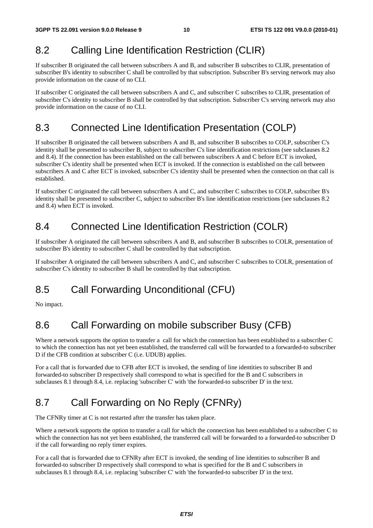#### 8.2 Calling Line Identification Restriction (CLIR)

If subscriber B originated the call between subscribers A and B, and subscriber B subscribes to CLIR, presentation of subscriber B's identity to subscriber C shall be controlled by that subscription. Subscriber B's serving network may also provide information on the cause of no CLI.

If subscriber C originated the call between subscribers A and C, and subscriber C subscribes to CLIR, presentation of subscriber C's identity to subscriber B shall be controlled by that subscription. Subscriber C's serving network may also provide information on the cause of no CLI.

#### 8.3 Connected Line Identification Presentation (COLP)

If subscriber B originated the call between subscribers A and B, and subscriber B subscribes to COLP, subscriber C's identity shall be presented to subscriber B, subject to subscriber C's line identification restrictions (see subclauses 8.2 and 8.4). If the connection has been established on the call between subscribers A and C before ECT is invoked, subscriber C's identity shall be presented when ECT is invoked. If the connection is established on the call between subscribers A and C after ECT is invoked, subscriber C's identity shall be presented when the connection on that call is established.

If subscriber C originated the call between subscribers A and C, and subscriber C subscribes to COLP, subscriber B's identity shall be presented to subscriber C, subject to subscriber B's line identification restrictions (see subclauses 8.2 and 8.4) when ECT is invoked.

#### 8.4 Connected Line Identification Restriction (COLR)

If subscriber A originated the call between subscribers A and B, and subscriber B subscribes to COLR, presentation of subscriber B's identity to subscriber C shall be controlled by that subscription.

If subscriber A originated the call between subscribers A and C, and subscriber C subscribes to COLR, presentation of subscriber C's identity to subscriber B shall be controlled by that subscription.

## 8.5 Call Forwarding Unconditional (CFU)

No impact.

### 8.6 Call Forwarding on mobile subscriber Busy (CFB)

Where a network supports the option to transfer a call for which the connection has been established to a subscriber C to which the connection has not yet been established, the transferred call will be forwarded to a forwarded-to subscriber D if the CFB condition at subscriber C (i.e. UDUB) applies.

For a call that is forwarded due to CFB after ECT is invoked, the sending of line identities to subscriber B and forwarded-to subscriber D respectively shall correspond to what is specified for the B and C subscribers in subclauses 8.1 through 8.4, i.e. replacing 'subscriber C' with 'the forwarded-to subscriber D' in the text.

## 8.7 Call Forwarding on No Reply (CFNRy)

The CFNRy timer at C is not restarted after the transfer has taken place.

Where a network supports the option to transfer a call for which the connection has been established to a subscriber C to which the connection has not yet been established, the transferred call will be forwarded to a forwarded-to subscriber D if the call forwarding no reply timer expires.

For a call that is forwarded due to CFNRy after ECT is invoked, the sending of line identities to subscriber B and forwarded-to subscriber D respectively shall correspond to what is specified for the B and C subscribers in subclauses 8.1 through 8.4, i.e. replacing 'subscriber C' with 'the forwarded-to subscriber D' in the text.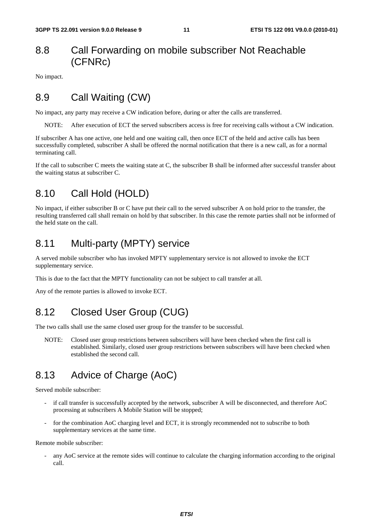#### 8.8 Call Forwarding on mobile subscriber Not Reachable (CFNRc)

No impact.

#### 8.9 Call Waiting (CW)

No impact, any party may receive a CW indication before, during or after the calls are transferred.

NOTE: After execution of ECT the served subscribers access is free for receiving calls without a CW indication.

If subscriber A has one active, one held and one waiting call, then once ECT of the held and active calls has been successfully completed, subscriber A shall be offered the normal notification that there is a new call, as for a normal terminating call.

If the call to subscriber C meets the waiting state at C, the subscriber B shall be informed after successful transfer about the waiting status at subscriber C.

#### 8.10 Call Hold (HOLD)

No impact, if either subscriber B or C have put their call to the served subscriber A on hold prior to the transfer, the resulting transferred call shall remain on hold by that subscriber. In this case the remote parties shall not be informed of the held state on the call.

#### 8.11 Multi-party (MPTY) service

A served mobile subscriber who has invoked MPTY supplementary service is not allowed to invoke the ECT supplementary service.

This is due to the fact that the MPTY functionality can not be subject to call transfer at all.

Any of the remote parties is allowed to invoke ECT.

#### 8.12 Closed User Group (CUG)

The two calls shall use the same closed user group for the transfer to be successful.

NOTE: Closed user group restrictions between subscribers will have been checked when the first call is established. Similarly, closed user group restrictions between subscribers will have been checked when established the second call.

#### 8.13 Advice of Charge (AoC)

Served mobile subscriber:

- if call transfer is successfully accepted by the network, subscriber A will be disconnected, and therefore AoC processing at subscribers A Mobile Station will be stopped;
- for the combination AoC charging level and ECT, it is strongly recommended not to subscribe to both supplementary services at the same time.

Remote mobile subscriber:

any AoC service at the remote sides will continue to calculate the charging information according to the original call.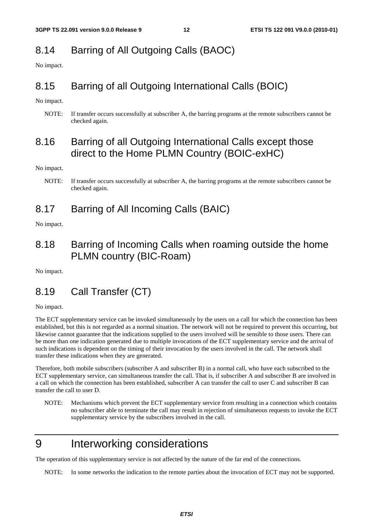#### 8.14 Barring of All Outgoing Calls (BAOC)

No impact.

#### 8.15 Barring of all Outgoing International Calls (BOIC)

No impact.

NOTE: If transfer occurs successfully at subscriber A, the barring programs at the remote subscribers cannot be checked again.

#### 8.16 Barring of all Outgoing International Calls except those direct to the Home PLMN Country (BOIC-exHC)

No impact.

#### 8.17 Barring of All Incoming Calls (BAIC)

No impact.

#### 8.18 Barring of Incoming Calls when roaming outside the home PLMN country (BIC-Roam)

No impact.

#### 8.19 Call Transfer (CT)

No impact.

The ECT supplementary service can be invoked simultaneously by the users on a call for which the connection has been established, but this is not regarded as a normal situation. The network will not be required to prevent this occurring, but likewise cannot guarantee that the indications supplied to the users involved will be sensible to those users. There can be more than one indication generated due to multiple invocations of the ECT supplementary service and the arrival of such indications is dependent on the timing of their invocation by the users involved in the call. The network shall transfer these indications when they are generated.

Therefore, both mobile subscribers (subscriber A and subscriber B) in a normal call, who have each subscribed to the ECT supplementary service, can simultaneous transfer the call. That is, if subscriber A and subscriber B are involved in a call on which the connection has been established, subscriber A can transfer the call to user C and subscriber B can transfer the call to user D.

NOTE: Mechanisms which prevent the ECT supplementary service from resulting in a connection which contains no subscriber able to terminate the call may result in rejection of simultaneous requests to invoke the ECT supplementary service by the subscribers involved in the call.

# 9 Interworking considerations

The operation of this supplementary service is not affected by the nature of the far end of the connections.

NOTE: In some networks the indication to the remote parties about the invocation of ECT may not be supported.

NOTE: If transfer occurs successfully at subscriber A, the barring programs at the remote subscribers cannot be checked again.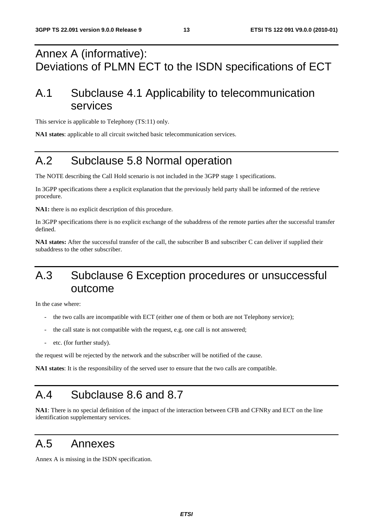# Annex A (informative): Deviations of PLMN ECT to the ISDN specifications of ECT

# A.1 Subclause 4.1 Applicability to telecommunication services

This service is applicable to Telephony (TS:11) only.

**NA1 states**: applicable to all circuit switched basic telecommunication services.

# A.2 Subclause 5.8 Normal operation

The NOTE describing the Call Hold scenario is not included in the 3GPP stage 1 specifications.

In 3GPP specifications there a explicit explanation that the previously held party shall be informed of the retrieve procedure.

**NA1:** there is no explicit description of this procedure.

In 3GPP specifications there is no explicit exchange of the subaddress of the remote parties after the successful transfer defined.

**NA1 states:** After the successful transfer of the call, the subscriber B and subscriber C can deliver if supplied their subaddress to the other subscriber.

# A.3 Subclause 6 Exception procedures or unsuccessful outcome

In the case where:

- the two calls are incompatible with ECT (either one of them or both are not Telephony service);
- the call state is not compatible with the request, e.g. one call is not answered;
- etc. (for further study).

the request will be rejected by the network and the subscriber will be notified of the cause.

**NA1 states**: It is the responsibility of the served user to ensure that the two calls are compatible.

# A.4 Subclause 8.6 and 8.7

**NA1**: There is no special definition of the impact of the interaction between CFB and CFNRy and ECT on the line identification supplementary services.

#### A.5 Annexes

Annex A is missing in the ISDN specification.

*ETSI*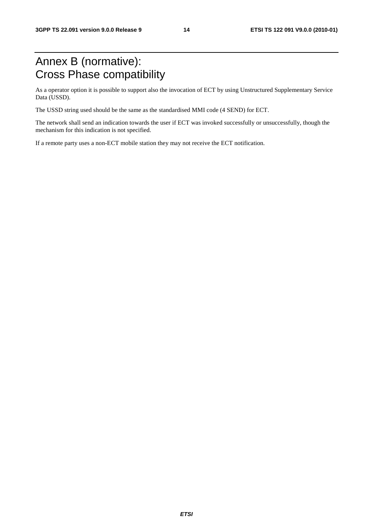# Annex B (normative): Cross Phase compatibility

As a operator option it is possible to support also the invocation of ECT by using Unstructured Supplementary Service Data (USSD).

The USSD string used should be the same as the standardised MMI code (4 SEND) for ECT.

The network shall send an indication towards the user if ECT was invoked successfully or unsuccessfully, though the mechanism for this indication is not specified.

If a remote party uses a non-ECT mobile station they may not receive the ECT notification.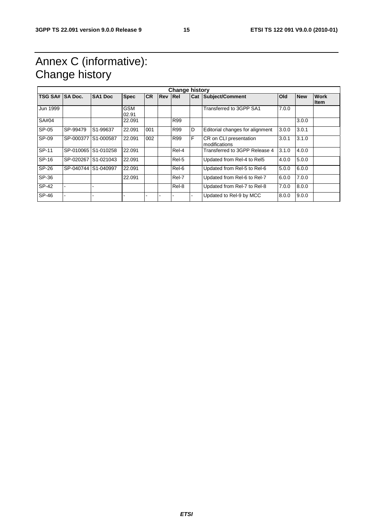# Annex C (informative): Change history

| <b>Change history</b> |                     |                       |                     |           |                |            |   |                                         |       |            |                     |
|-----------------------|---------------------|-----------------------|---------------------|-----------|----------------|------------|---|-----------------------------------------|-------|------------|---------------------|
| TSG SA# SA Doc.       |                     | SA <sub>1</sub> Doc   | <b>Spec</b>         | <b>CR</b> | <b>Rev Rel</b> |            |   | <b>Cat Subject/Comment</b>              | Old   | <b>New</b> | <b>Work</b><br>ltem |
| Jun 1999              |                     |                       | <b>GSM</b><br>02.91 |           |                |            |   | Transferred to 3GPP SA1                 | 7.0.0 |            |                     |
| SA#04                 |                     |                       | 22.091              |           |                | <b>R99</b> |   |                                         |       | 3.0.0      |                     |
| SP-05                 | SP-99479            | S <sub>1</sub> -99637 | 22.091              | 001       |                | <b>R99</b> | D | Editorial changes for alignment         | 3.0.0 | 3.0.1      |                     |
| SP-09                 | SP-000377 S1-000587 |                       | 22.091              | 002       |                | <b>R99</b> | F | CR on CLI presentation<br>modifications | 3.0.1 | 3.1.0      |                     |
| SP-11                 |                     | SP-010065 S1-010258   | 22.091              |           |                | Rel-4      |   | Transferred to 3GPP Release 4           | 3.1.0 | 4.0.0      |                     |
| SP-16                 |                     | SP-020267 S1-021043   | 22.091              |           |                | Rel-5      |   | Updated from Rel-4 to Rel5              | 4.0.0 | 5.0.0      |                     |
| SP-26                 | SP-040744 S1-040997 |                       | 22.091              |           |                | Rel-6      |   | Updated from Rel-5 to Rel-6             | 5.0.0 | 6.0.0      |                     |
| SP-36                 |                     |                       | 22.091              |           |                | Rel-7      |   | Updated from Rel-6 to Rel-7             | 6.0.0 | 7.0.0      |                     |
| SP-42                 |                     |                       |                     |           |                | Rel-8      |   | Updated from Rel-7 to Rel-8             | 7.0.0 | 8.0.0      |                     |
| SP-46                 |                     |                       |                     |           |                |            |   | Updated to Rel-9 by MCC                 | 8.0.0 | 9.0.0      |                     |